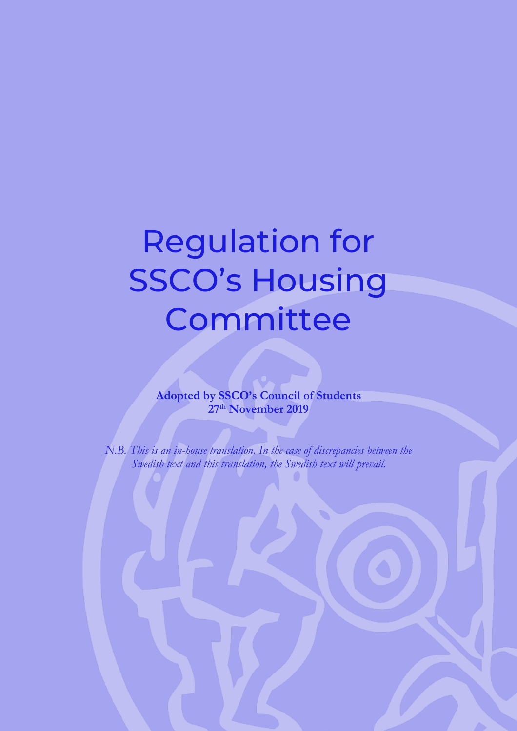# Regulation for SSCO's Housing **Committee**

**Adopted by SSCO's Council of Students 27th November 2019**

*N.B. This is an in-house translation. In the case of discrepancies between the Swedish text and this translation, the Swedish text will prevail.*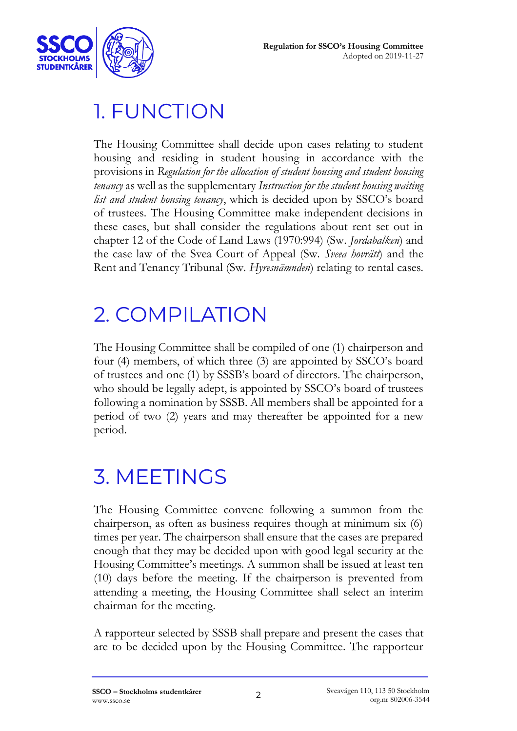

#### 1. FUNCTION

The Housing Committee shall decide upon cases relating to student housing and residing in student housing in accordance with the provisions in *Regulation for the allocation of student housing and student housing tenancy* as well as the supplementary *Instruction for the student housing waiting list and student housing tenancy*, which is decided upon by SSCO's board of trustees. The Housing Committee make independent decisions in these cases, but shall consider the regulations about rent set out in chapter 12 of the Code of Land Laws (1970:994) (Sw. *Jordabalken*) and the case law of the Svea Court of Appeal (Sw. *Sveea hovrätt*) and the Rent and Tenancy Tribunal (Sw. *Hyresnämnden*) relating to rental cases.

#### 2. COMPILATION

The Housing Committee shall be compiled of one (1) chairperson and four (4) members, of which three (3) are appointed by SSCO's board of trustees and one (1) by SSSB's board of directors. The chairperson, who should be legally adept, is appointed by SSCO's board of trustees following a nomination by SSSB. All members shall be appointed for a period of two (2) years and may thereafter be appointed for a new period.

### 3. MEETINGS

The Housing Committee convene following a summon from the chairperson, as often as business requires though at minimum six (6) times per year. The chairperson shall ensure that the cases are prepared enough that they may be decided upon with good legal security at the Housing Committee's meetings. A summon shall be issued at least ten (10) days before the meeting. If the chairperson is prevented from attending a meeting, the Housing Committee shall select an interim chairman for the meeting.

A rapporteur selected by SSSB shall prepare and present the cases that are to be decided upon by the Housing Committee. The rapporteur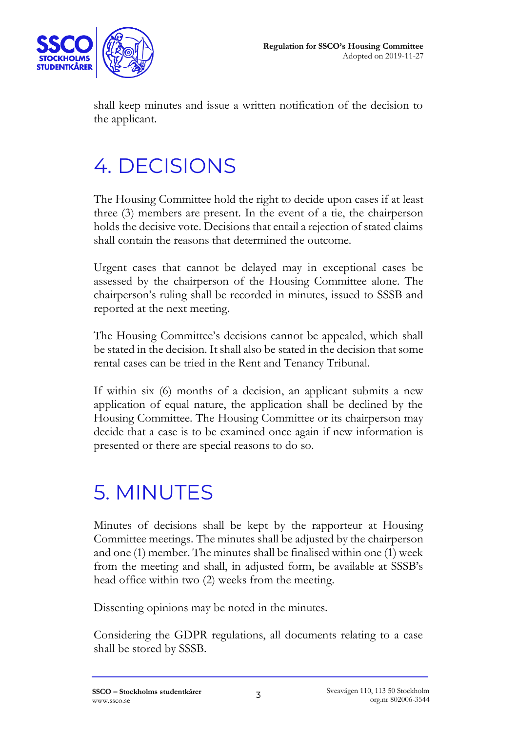

shall keep minutes and issue a written notification of the decision to the applicant.

### 4. DECISIONS

The Housing Committee hold the right to decide upon cases if at least three (3) members are present. In the event of a tie, the chairperson holds the decisive vote. Decisions that entail a rejection of stated claims shall contain the reasons that determined the outcome.

Urgent cases that cannot be delayed may in exceptional cases be assessed by the chairperson of the Housing Committee alone. The chairperson's ruling shall be recorded in minutes, issued to SSSB and reported at the next meeting.

The Housing Committee's decisions cannot be appealed, which shall be stated in the decision. It shall also be stated in the decision that some rental cases can be tried in the Rent and Tenancy Tribunal.

If within six (6) months of a decision, an applicant submits a new application of equal nature, the application shall be declined by the Housing Committee. The Housing Committee or its chairperson may decide that a case is to be examined once again if new information is presented or there are special reasons to do so.

### 5. MINUTES

Minutes of decisions shall be kept by the rapporteur at Housing Committee meetings. The minutes shall be adjusted by the chairperson and one (1) member. The minutes shall be finalised within one (1) week from the meeting and shall, in adjusted form, be available at SSSB's head office within two (2) weeks from the meeting.

Dissenting opinions may be noted in the minutes.

Considering the GDPR regulations, all documents relating to a case shall be stored by SSSB.